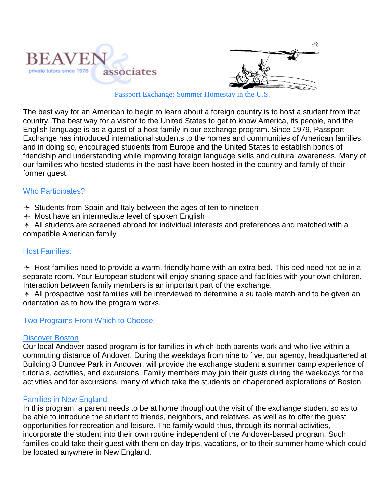



Passport Exchange: Summer Homestay in the U.S.

The best way for an American to begin to learn about a foreign country is to host a student from that country. The best way for a visitor to the United States to get to know America, its people, and the English language is as a guest of a host family in our exchange program. Since 1979, Passport Exchange has introduced international students to the homes and communities of American families, and in doing so, encouraged students from Europe and the United States to establish bonds of friendship and understanding while improving foreign language skills and cultural awareness. Many of our families who hosted students in the past have been hosted in the country and family of their former guest.

### Who Participates?

Students from Spain and Italy between the ages of ten to nineteen

 $+$  Most have an intermediate level of spoken English

 $+$  All students are screened abroad for individual interests and preferences and matched with a compatible American family

## Host Families:

 $+$  Host families need to provide a warm, friendly home with an extra bed. This bed need not be in a separate room. Your European student will enjoy sharing space and facilities with your own children. Interaction between family members is an important part of the exchange.

 $+$  All prospective host families will be interviewed to determine a suitable match and to be given an orientation as to how the program works.

## Two Programs From Which to Choose:

#### Discover Boston

Our local Andover based program is for families in which both parents work and who live within a commuting distance of Andover. During the weekdays from nine to five, our agency, headquartered at Building 3 Dundee Park in Andover, will provide the exchange student a summer camp experience of tutorials, activities, and excursions. Family members may join their gusts during the weekdays for the activities and for excursions, many of which take the students on chaperoned explorations of Boston.

#### Families in New England

In this program, a parent needs to be at home throughout the visit of the exchange student so as to be able to introduce the student to friends, neighbors, and relatives, as well as to offer the guest opportunities for recreation and leisure. The family would thus, through its normal activities, incorporate the student into their own routine independent of the Andover-based program. Such families could take their guest with them on day trips, vacations, or to their summer home which could be located anywhere in New England.